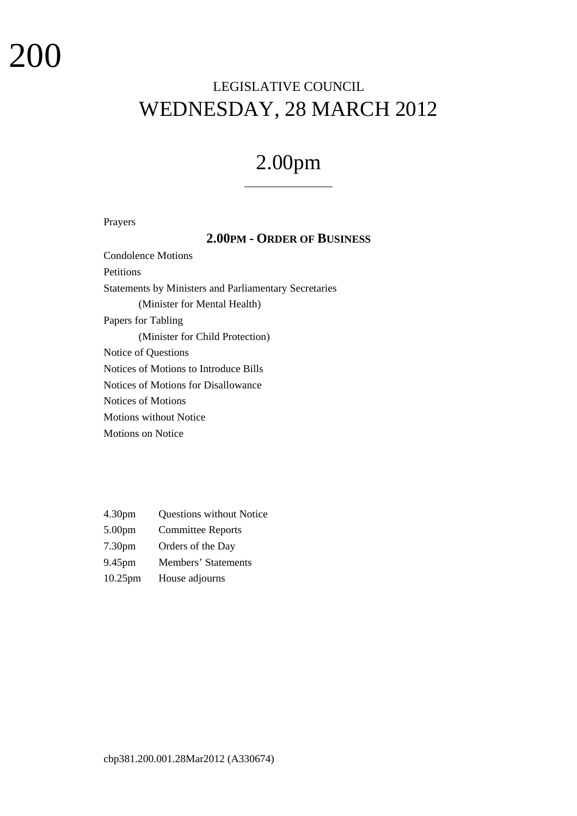# LEGISLATIVE COUNCIL WEDNESDAY, 28 MARCH 2012

# 2.00pm

 $\overline{a}$ 

## Prayers

# **2.00PM - ORDER OF BUSINESS**

Condolence Motions Petitions Statements by Ministers and Parliamentary Secretaries (Minister for Mental Health) Papers for Tabling (Minister for Child Protection) Notice of Questions Notices of Motions to Introduce Bills Notices of Motions for Disallowance Notices of Motions Motions without Notice Motions on Notice

- 4.30pm Questions without Notice
- 5.00pm Committee Reports
- 7.30pm Orders of the Day
- 9.45pm Members' Statements
- 10.25pm House adjourns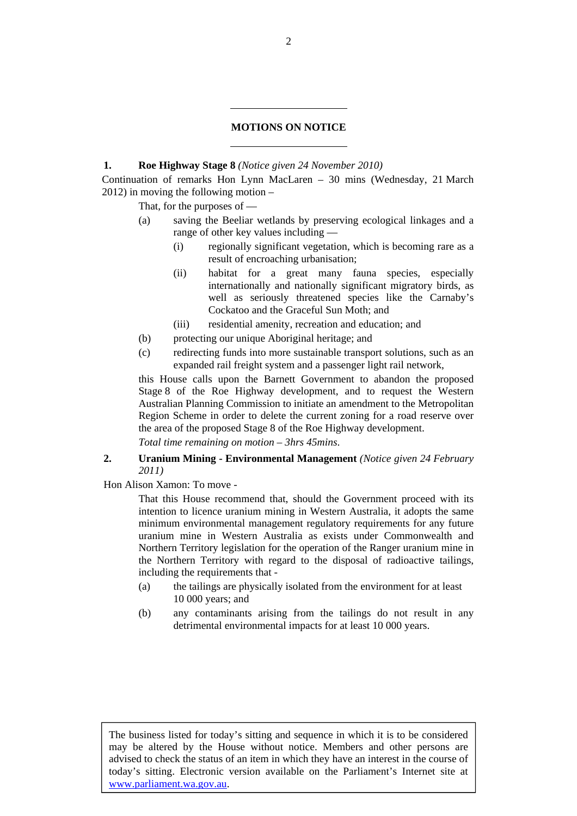#### **MOTIONS ON NOTICE**

#### **1. Roe Highway Stage 8** *(Notice given 24 November 2010)*

l

l

Continuation of remarks Hon Lynn MacLaren – 30 mins (Wednesday, 21 March 2012) in moving the following motion –

That, for the purposes of -

- (a) saving the Beeliar wetlands by preserving ecological linkages and a range of other key values including —
	- (i) regionally significant vegetation, which is becoming rare as a result of encroaching urbanisation;
	- (ii) habitat for a great many fauna species, especially internationally and nationally significant migratory birds, as well as seriously threatened species like the Carnaby's Cockatoo and the Graceful Sun Moth; and
	- (iii) residential amenity, recreation and education; and
- (b) protecting our unique Aboriginal heritage; and
- (c) redirecting funds into more sustainable transport solutions, such as an expanded rail freight system and a passenger light rail network,

this House calls upon the Barnett Government to abandon the proposed Stage 8 of the Roe Highway development, and to request the Western Australian Planning Commission to initiate an amendment to the Metropolitan Region Scheme in order to delete the current zoning for a road reserve over the area of the proposed Stage 8 of the Roe Highway development.

*Total time remaining on motion – 3hrs 45mins*.

## **2. Uranium Mining - Environmental Management** *(Notice given 24 February 2011)*

Hon Alison Xamon: To move -

That this House recommend that, should the Government proceed with its intention to licence uranium mining in Western Australia, it adopts the same minimum environmental management regulatory requirements for any future uranium mine in Western Australia as exists under Commonwealth and Northern Territory legislation for the operation of the Ranger uranium mine in the Northern Territory with regard to the disposal of radioactive tailings, including the requirements that -

- (a) the tailings are physically isolated from the environment for at least 10 000 years; and
- (b) any contaminants arising from the tailings do not result in any detrimental environmental impacts for at least 10 000 years.

The business listed for today's sitting and sequence in which it is to be considered may be altered by the House without notice. Members and other persons are advised to check the status of an item in which they have an interest in the course of today's sitting. Electronic version available on the Parliament's Internet site at www.parliament.wa.gov.au.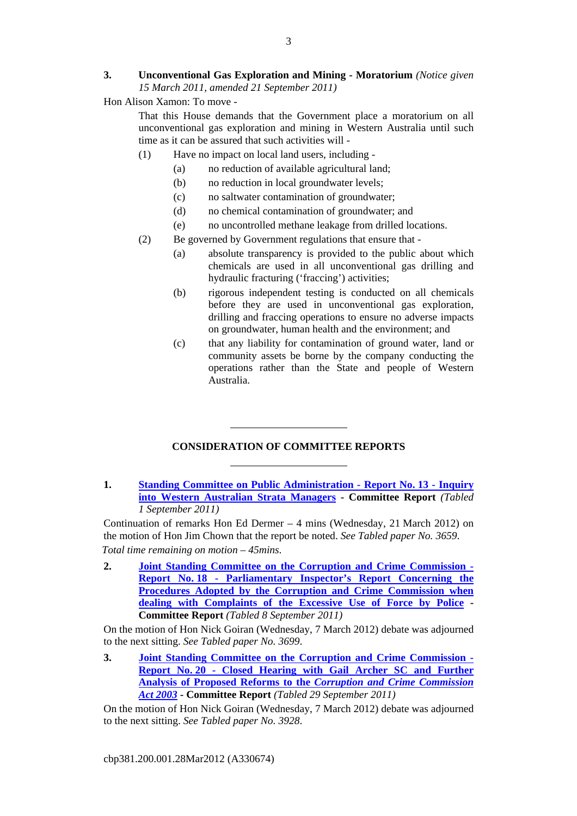# **3. Unconventional Gas Exploration and Mining - Moratorium** *(Notice given 15 March 2011, amended 21 September 2011)*

Hon Alison Xamon: To move -

That this House demands that the Government place a moratorium on all unconventional gas exploration and mining in Western Australia until such time as it can be assured that such activities will -

- (1) Have no impact on local land users, including
	- (a) no reduction of available agricultural land;
	- (b) no reduction in local groundwater levels;
	- (c) no saltwater contamination of groundwater;
	- (d) no chemical contamination of groundwater; and
	- (e) no uncontrolled methane leakage from drilled locations.
- (2) Be governed by Government regulations that ensure that
	- (a) absolute transparency is provided to the public about which chemicals are used in all unconventional gas drilling and hydraulic fracturing ('fraccing') activities;
	- (b) rigorous independent testing is conducted on all chemicals before they are used in unconventional gas exploration, drilling and fraccing operations to ensure no adverse impacts on groundwater, human health and the environment; and
	- (c) that any liability for contamination of ground water, land or community assets be borne by the company conducting the operations rather than the State and people of Western Australia.

# **CONSIDERATION OF COMMITTEE REPORTS**

l

l

**1. Standing Committee on Public Administration - Report No. 13 - Inquiry into Western Australian Strata Managers - Committee Report** *(Tabled 1 September 2011)*

Continuation of remarks Hon Ed Dermer – 4 mins (Wednesday, 21 March 2012) on the motion of Hon Jim Chown that the report be noted. *See Tabled paper No. 3659*. *Total time remaining on motion – 45mins*.

**2. Joint Standing Committee on the Corruption and Crime Commission - Report No. 18 - Parliamentary Inspector's Report Concerning the Procedures Adopted by the Corruption and Crime Commission when dealing with Complaints of the Excessive Use of Force by Police - Committee Report** *(Tabled 8 September 2011)*

On the motion of Hon Nick Goiran (Wednesday, 7 March 2012) debate was adjourned to the next sitting. *See Tabled paper No. 3699*.

**3. Joint Standing Committee on the Corruption and Crime Commission - Report No. 20 - Closed Hearing with Gail Archer SC and Further Analysis of Proposed Reforms to the** *Corruption and Crime Commission Act 2003* **- Committee Report** *(Tabled 29 September 2011)*

On the motion of Hon Nick Goiran (Wednesday, 7 March 2012) debate was adjourned to the next sitting. *See Tabled paper No. 3928*.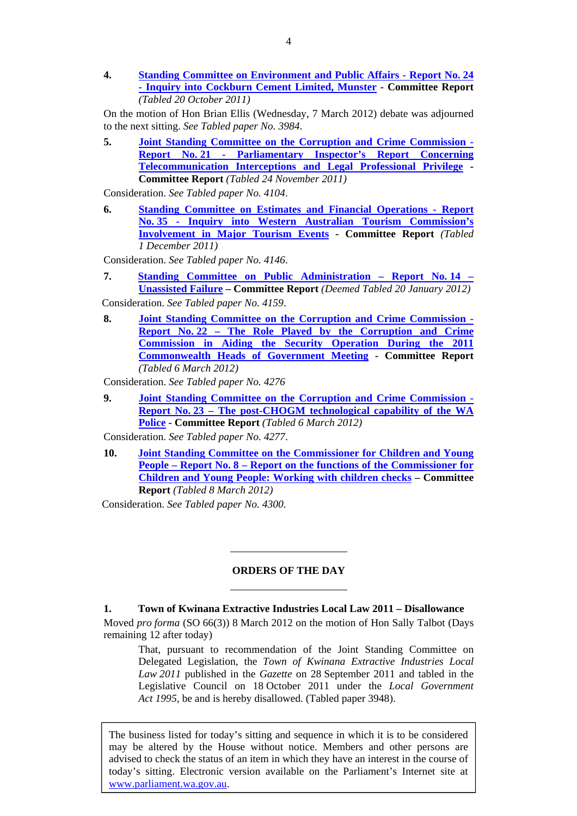**4. Standing Committee on Environment and Public Affairs - Report No. 24 - Inquiry into Cockburn Cement Limited, Munster - Committee Report**  *(Tabled 20 October 2011)*

On the motion of Hon Brian Ellis (Wednesday, 7 March 2012) debate was adjourned to the next sitting. *See Tabled paper No. 3984*.

**5. Joint Standing Committee on the Corruption and Crime Commission - Report No. 21 - Parliamentary Inspector's Report Concerning Telecommunication Interceptions and Legal Professional Privilege - Committee Report** *(Tabled 24 November 2011)*

Consideration. *See Tabled paper No. 4104*.

**6. Standing Committee on Estimates and Financial Operations - Report No. 35 - Inquiry into Western Australian Tourism Commission's Involvement in Major Tourism Events - Committee Report** *(Tabled 1 December 2011)*

Consideration. *See Tabled paper No. 4146*.

- **7. Standing Committee on Public Administration Report No. 14 Unassisted Failure – Committee Report** *(Deemed Tabled 20 January 2012)*
- Consideration. *See Tabled paper No. 4159*.
- **8. Joint Standing Committee on the Corruption and Crime Commission Report No. 22 – The Role Played by the Corruption and Crime Commission in Aiding the Security Operation During the 2011 Commonwealth Heads of Government Meeting - Committee Report**  *(Tabled 6 March 2012)*

Consideration. *See Tabled paper No. 4276*

**9. Joint Standing Committee on the Corruption and Crime Commission - Report No. 23 – The post-CHOGM technological capability of the WA Police - Committee Report** *(Tabled 6 March 2012)*

Consideration. *See Tabled paper No. 4277*.

**10. Joint Standing Committee on the Commissioner for Children and Young People – Report No. 8 – Report on the functions of the Commissioner for Children and Young People: Working with children checks – Committee Report** *(Tabled 8 March 2012)*

Consideration. *See Tabled paper No. 4300.*

l

l

#### **ORDERS OF THE DAY**

**1. Town of Kwinana Extractive Industries Local Law 2011 – Disallowance** 

Moved *pro forma* (SO 66(3)) 8 March 2012 on the motion of Hon Sally Talbot (Days remaining 12 after today)

That, pursuant to recommendation of the Joint Standing Committee on Delegated Legislation, the *Town of Kwinana Extractive Industries Local Law 2011* published in the *Gazette* on 28 September 2011 and tabled in the Legislative Council on 18 October 2011 under the *Local Government Act 1995*, be and is hereby disallowed. (Tabled paper 3948).

The business listed for today's sitting and sequence in which it is to be considered may be altered by the House without notice. Members and other persons are advised to check the status of an item in which they have an interest in the course of today's sitting. Electronic version available on the Parliament's Internet site at www.parliament.wa.gov.au.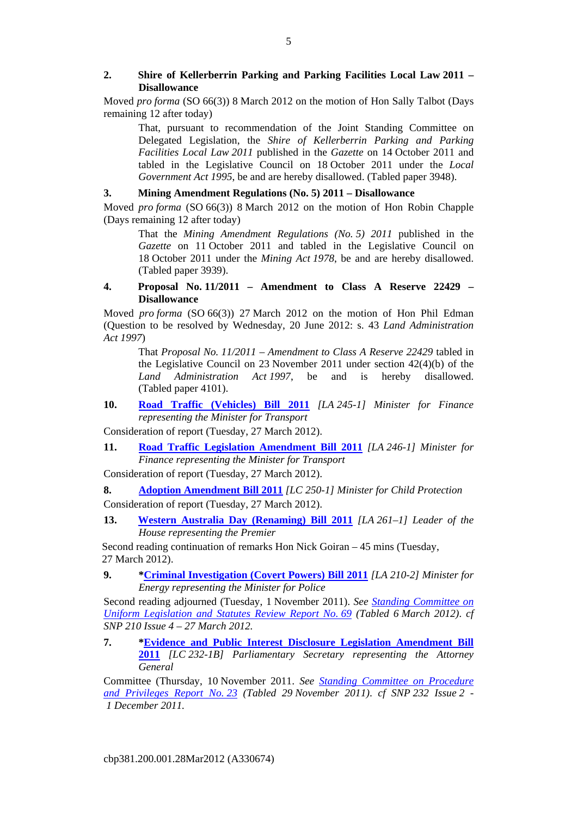# **2. Shire of Kellerberrin Parking and Parking Facilities Local Law 2011 – Disallowance**

Moved *pro forma* (SO 66(3)) 8 March 2012 on the motion of Hon Sally Talbot (Days remaining 12 after today)

That, pursuant to recommendation of the Joint Standing Committee on Delegated Legislation, the *Shire of Kellerberrin Parking and Parking Facilities Local Law 2011* published in the *Gazette* on 14 October 2011 and tabled in the Legislative Council on 18 October 2011 under the *Local Government Act 1995*, be and are hereby disallowed. (Tabled paper 3948).

# **3. Mining Amendment Regulations (No. 5) 2011 – Disallowance**

Moved *pro forma* (SO 66(3)) 8 March 2012 on the motion of Hon Robin Chapple (Days remaining 12 after today)

That the *Mining Amendment Regulations (No. 5) 2011* published in the *Gazette* on 11 October 2011 and tabled in the Legislative Council on 18 October 2011 under the *Mining Act 1978*, be and are hereby disallowed. (Tabled paper 3939).

# **4. Proposal No. 11/2011 – Amendment to Class A Reserve 22429 – Disallowance**

Moved *pro forma* (SO 66(3)) 27 March 2012 on the motion of Hon Phil Edman (Question to be resolved by Wednesday, 20 June 2012: s. 43 *Land Administration Act 1997*)

That *Proposal No. 11/2011 – Amendment to Class A Reserve 22429* tabled in the Legislative Council on 23 November 2011 under section 42(4)(b) of the *Land Administration Act 1997*, be and is hereby disallowed. (Tabled paper 4101).

**10. Road Traffic (Vehicles) Bill 2011** *[LA 245-1] Minister for Finance representing the Minister for Transport*

Consideration of report (Tuesday, 27 March 2012).

**11. Road Traffic Legislation Amendment Bill 2011** *[LA 246-1] Minister for Finance representing the Minister for Transport*

Consideration of report (Tuesday, 27 March 2012).

**8. Adoption Amendment Bill 2011** *[LC 250-1] Minister for Child Protection* Consideration of report (Tuesday, 27 March 2012).

**13. Western Australia Day (Renaming) Bill 2011** *[LA 261–1] Leader of the House representing the Premier*

Second reading continuation of remarks Hon Nick Goiran – 45 mins (Tuesday, 27 March 2012).

**9. \*Criminal Investigation (Covert Powers) Bill 2011** *[LA 210-2] Minister for Energy representing the Minister for Police*

Second reading adjourned (Tuesday, 1 November 2011). *See Standing Committee on Uniform Legislation and Statutes Review Report No. 69 (Tabled 6 March 2012)*. *cf SNP 210 Issue 4 – 27 March 2012.*

**7. \*Evidence and Public Interest Disclosure Legislation Amendment Bill 2011** *[LC 232-1B] Parliamentary Secretary representing the Attorney General*

Committee (Thursday, 10 November 2011. *See Standing Committee on Procedure and Privileges Report No. 23 (Tabled 29 November 2011)*. *cf SNP 232 Issue 2 - 1 December 2011.*